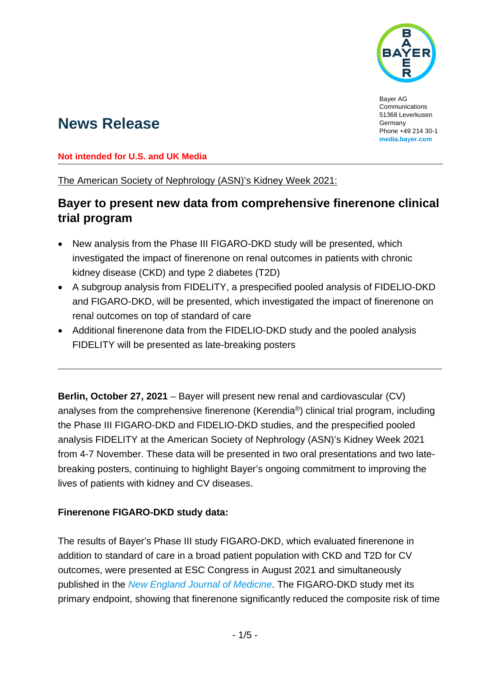

Bayer AG Communications 51368 Leverkusen Germany Phone +49 214 30-1 **[media.bayer.com](http://media.bayer.com/)**

# **News Release**

#### **Not intended for U.S. and UK Media**

The American Society of Nephrology (ASN)'s Kidney Week 2021:

## **Bayer to present new data from comprehensive finerenone clinical trial program**

- New analysis from the Phase III FIGARO-DKD study will be presented, which investigated the impact of finerenone on renal outcomes in patients with chronic kidney disease (CKD) and type 2 diabetes (T2D)
- A subgroup analysis from FIDELITY, a prespecified pooled analysis of FIDELIO-DKD and FIGARO-DKD, will be presented, which investigated the impact of finerenone on renal outcomes on top of standard of care
- Additional finerenone data from the FIDELIO-DKD study and the pooled analysis FIDELITY will be presented as late-breaking posters

**Berlin, October 27, 2021** – Bayer will present new renal and cardiovascular (CV) analyses from the comprehensive finerenone (Kerendia®) clinical trial program, including the Phase III FIGARO-DKD and FIDELIO-DKD studies, and the prespecified pooled analysis FIDELITY at the American Society of Nephrology (ASN)'s Kidney Week 2021 from 4-7 November. These data will be presented in two oral presentations and two latebreaking posters, continuing to highlight Bayer's ongoing commitment to improving the lives of patients with kidney and CV diseases.

### **Finerenone FIGARO-DKD study data:**

The results of Bayer's Phase III study FIGARO-DKD, which evaluated finerenone in addition to standard of care in a broad patient population with CKD and T2D for CV outcomes, were presented at ESC Congress in August 2021 and simultaneously published in the *[New England Journal of Medicine](https://www.nejm.org/doi/full/10.1056/NEJMoa2110956)*. The FIGARO-DKD study met its primary endpoint, showing that finerenone significantly reduced the composite risk of time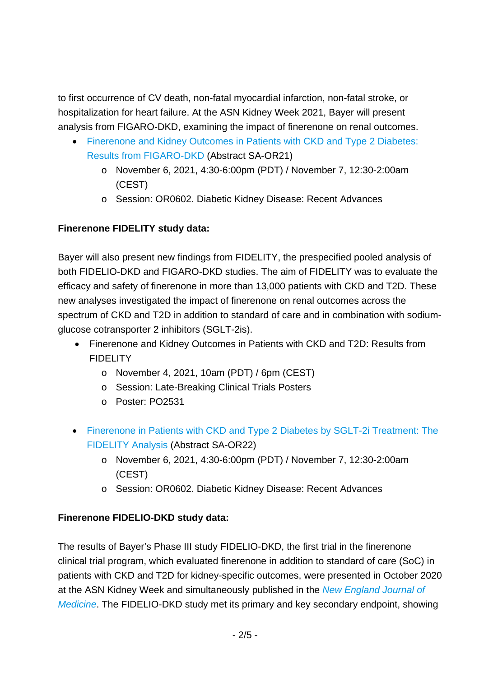to first occurrence of CV death, non-fatal myocardial infarction, non-fatal stroke, or hospitalization for heart failure. At the ASN Kidney Week 2021, Bayer will present analysis from FIGARO-DKD, examining the impact of finerenone on renal outcomes.

- [Finerenone and Kidney Outcomes in Patients with CKD and Type 2 Diabetes:](https://www.asn-online.org/education/kidneyweek/2021/program-abstract.aspx?controlId=3605815)  [Results from FIGARO-DKD](https://www.asn-online.org/education/kidneyweek/2021/program-abstract.aspx?controlId=3605815) (Abstract SA-OR21)
	- o November 6, 2021, 4:30-6:00pm (PDT) / November 7, 12:30-2:00am (CEST)
	- o Session: OR0602. Diabetic Kidney Disease: Recent Advances

#### **Finerenone FIDELITY study data:**

Bayer will also present new findings from FIDELITY, the prespecified pooled analysis of both FIDELIO-DKD and FIGARO-DKD studies. The aim of FIDELITY was to evaluate the efficacy and safety of finerenone in more than 13,000 patients with CKD and T2D. These new analyses investigated the impact of finerenone on renal outcomes across the spectrum of CKD and T2D in addition to standard of care and in combination with sodiumglucose cotransporter 2 inhibitors (SGLT-2is).

- Finerenone and Kidney Outcomes in Patients with CKD and T2D: Results from FIDELITY
	- o November 4, 2021, 10am (PDT) / 6pm (CEST)
	- o Session: Late-Breaking Clinical Trials Posters
	- o Poster: PO2531
- [Finerenone in Patients with CKD and Type 2 Diabetes](https://www.asn-online.org/education/kidneyweek/2021/program-abstract.aspx?controlId=3605822) by SGLT-2i Treatment: The [FIDELITY Analysis](https://www.asn-online.org/education/kidneyweek/2021/program-abstract.aspx?controlId=3605822) (Abstract SA-OR22)
	- o November 6, 2021, 4:30-6:00pm (PDT) / November 7, 12:30-2:00am (CEST)
	- o Session: OR0602. Diabetic Kidney Disease: Recent Advances

#### **Finerenone FIDELIO-DKD study data:**

The results of Bayer's Phase III study FIDELIO-DKD, the first trial in the finerenone clinical trial program, which evaluated finerenone in addition to standard of care (SoC) in patients with CKD and T2D for kidney-specific outcomes, were presented in October 2020 at the ASN Kidney Week and simultaneously published in the *[New England Journal of](https://www.nejm.org/doi/full/10.1056/NEJMoa2025845)  [Medicine](https://www.nejm.org/doi/full/10.1056/NEJMoa2025845)*. The FIDELIO-DKD study met its primary and key secondary endpoint, showing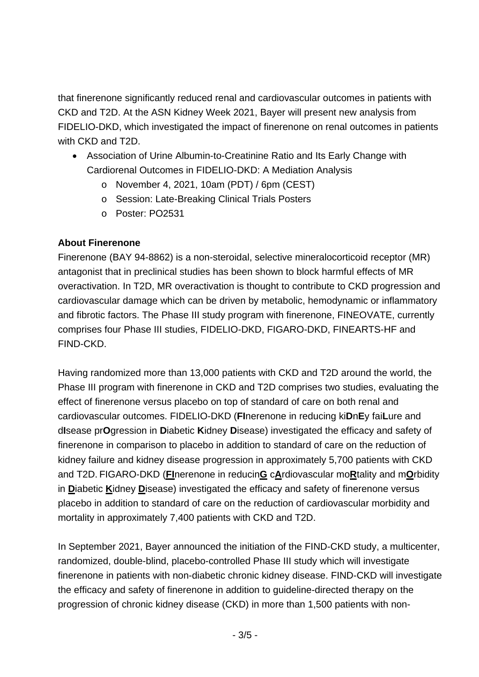that finerenone significantly reduced renal and cardiovascular outcomes in patients with CKD and T2D. At the ASN Kidney Week 2021, Bayer will present new analysis from FIDELIO-DKD, which investigated the impact of finerenone on renal outcomes in patients with CKD and T2D.

- Association of Urine Albumin-to-Creatinine Ratio and Its Early Change with Cardiorenal Outcomes in FIDELIO-DKD: A Mediation Analysis
	- o November 4, 2021, 10am (PDT) / 6pm (CEST)
	- o Session: Late-Breaking Clinical Trials Posters
	- o Poster: PO2531

#### **About Finerenone**

Finerenone (BAY 94-8862) is a non-steroidal, selective mineralocorticoid receptor (MR) antagonist that in preclinical studies has been shown to block harmful effects of MR overactivation. In T2D, MR overactivation is thought to contribute to CKD progression and cardiovascular damage which can be driven by metabolic, hemodynamic or inflammatory and fibrotic factors. The Phase III study program with finerenone, FINEOVATE, currently comprises four Phase III studies, FIDELIO-DKD, FIGARO-DKD, FINEARTS-HF and FIND-CKD.

Having randomized more than 13,000 patients with CKD and T2D around the world, the Phase III program with finerenone in CKD and T2D comprises two studies, evaluating the effect of finerenone versus placebo on top of standard of care on both renal and cardiovascular outcomes. FIDELIO-DKD (**FI**nerenone in reducing ki**D**n**E**y fai**L**ure and d**I**sease pr**O**gression in **D**iabetic **K**idney **D**isease) investigated the efficacy and safety of finerenone in comparison to placebo in addition to standard of care on the reduction of kidney failure and kidney disease progression in approximately 5,700 patients with CKD and T2D. FIGARO-DKD (**FI**nerenone in reducin**G** c**A**rdiovascular mo**R**tality and m**O**rbidity in **D**iabetic **K**idney **D**isease) investigated the efficacy and safety of finerenone versus placebo in addition to standard of care on the reduction of cardiovascular morbidity and mortality in approximately 7,400 patients with CKD and T2D.

In September 2021, Bayer announced the initiation of the FIND-CKD study, a multicenter, randomized, double-blind, placebo-controlled Phase III study which will investigate finerenone in patients with non-diabetic chronic kidney disease. FIND-CKD will investigate the efficacy and safety of finerenone in addition to guideline-directed therapy on the progression of chronic kidney disease (CKD) in more than 1,500 patients with non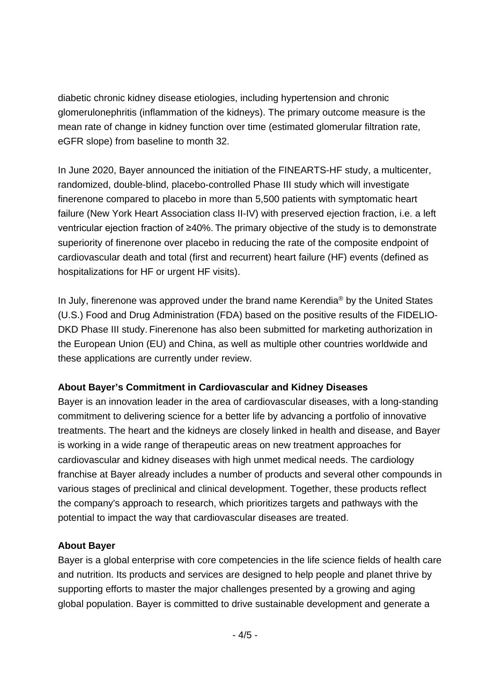diabetic chronic kidney disease etiologies, including hypertension and chronic glomerulonephritis (inflammation of the kidneys). The primary outcome measure is the mean rate of change in kidney function over time (estimated glomerular filtration rate, eGFR slope) from baseline to month 32.

In June 2020, Bayer announced the initiation of the FINEARTS-HF study, a multicenter, randomized, double-blind, placebo-controlled Phase III study which will investigate finerenone compared to placebo in more than 5,500 patients with symptomatic heart failure (New York Heart Association class II-IV) with preserved ejection fraction, i.e. a left ventricular ejection fraction of ≥40%. The primary objective of the study is to demonstrate superiority of finerenone over placebo in reducing the rate of the composite endpoint of cardiovascular death and total (first and recurrent) heart failure (HF) events (defined as hospitalizations for HF or urgent HF visits).

In July, finerenone was approved under the brand name Kerendia® by the United States (U.S.) Food and Drug Administration (FDA) based on the positive results of the FIDELIO-DKD Phase III study. Finerenone has also been submitted for marketing authorization in the European Union (EU) and China, as well as multiple other countries worldwide and these applications are currently under review.

#### **About Bayer's Commitment in Cardiovascular and Kidney Diseases**

Bayer is an innovation leader in the area of cardiovascular diseases, with a long-standing commitment to delivering science for a better life by advancing a portfolio of innovative treatments. The heart and the kidneys are closely linked in health and disease, and Bayer is working in a wide range of therapeutic areas on new treatment approaches for cardiovascular and kidney diseases with high unmet medical needs. The cardiology franchise at Bayer already includes a number of products and several other compounds in various stages of preclinical and clinical development. Together, these products reflect the company's approach to research, which prioritizes targets and pathways with the potential to impact the way that cardiovascular diseases are treated.

#### **About Bayer**

Bayer is a global enterprise with core competencies in the life science fields of health care and nutrition. Its products and services are designed to help people and planet thrive by supporting efforts to master the major challenges presented by a growing and aging global population. Bayer is committed to drive sustainable development and generate a